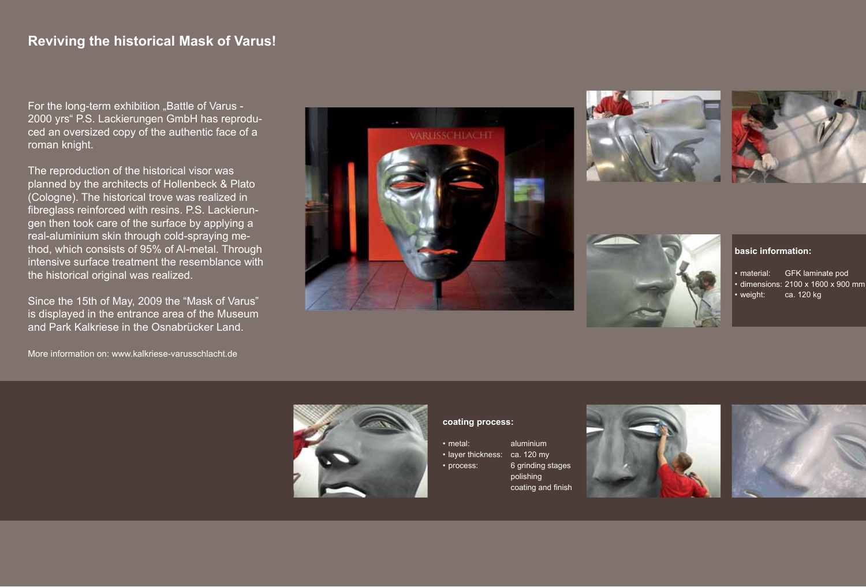For the long-term exhibition "Battle of Varus -2000 yrs" P.S. Lackierungen GmbH has reproduced an oversized copy of the authentic face of a roman knight.

The reproduction of the historical visor was planned by the architects of Hollenbeck & Plato (Cologne). The historical trove was realized in fibreglass reinforced with resins. P.S. Lackierungen then took care of the surface by applying a real-aluminium skin through cold-spraying method, which consists of 95% of Al-metal. Through intensive surface treatment the resemblance with the historical original was realized.

Since the 15th of May, 2009 the "Mask of Varus" is displayed in the entrance area of the Museum and Park Kalkriese in the Osnabrücker Land.

More information on: www.kalkriese-varusschlacht.de









#### **basic information:**

• material: GFK laminate pod • dimensions: 2100 x 1600 x 900 mm • weight: ca. 120 kg



#### **coating process:**

- metal: aluminium
- laver thickness: ca. 120 my
	-
- process: 6 grinding stages polishing coating and finish